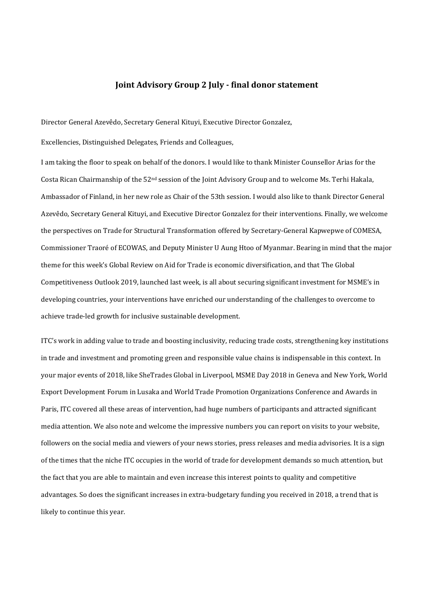## **Joint Advisory Group 2 July - final donor statement**

Director General Azevêdo, Secretary General Kituyi, Executive Director Gonzalez,

Excellencies, Distinguished Delegates, Friends and Colleagues,

I am taking the floor to speak on behalf of the donors. I would like to thank Minister Counsellor Arias for the Costa Rican Chairmanship of the 52nd session of the Joint Advisory Group and to welcome Ms. Terhi Hakala, Ambassador of Finland, in her new role as Chair of the 53th session. I would also like to thank Director General Azevêdo, Secretary General Kituyi, and Executive Director Gonzalez for their interventions. Finally, we welcome the perspectives on Trade for Structural Transformation offered by Secretary-General Kapwepwe of COMESA, Commissioner Traoré of ECOWAS, and Deputy Minister U Aung Htoo of Myanmar. Bearing in mind that the major theme for this week's Global Review on Aid for Trade is economic diversification, and that The Global Competitiveness Outlook 2019, launched last week, is all about securing significant investment for MSME's in developing countries, your interventions have enriched our understanding of the challenges to overcome to achieve trade-led growth for inclusive sustainable development.

ITC's work in adding value to trade and boosting inclusivity, reducing trade costs, strengthening key institutions in trade and investment and promoting green and responsible value chains is indispensable in this context. In your major events of 2018, like SheTrades Global in Liverpool, MSME Day 2018 in Geneva and New York, World Export Development Forum in Lusaka and World Trade Promotion Organizations Conference and Awards in Paris, ITC covered all these areas of intervention, had huge numbers of participants and attracted significant media attention. We also note and welcome the impressive numbers you can report on visits to your website, followers on the social media and viewers of your news stories, press releases and media advisories. It is a sign of the times that the niche ITC occupies in the world of trade for development demands so much attention, but the fact that you are able to maintain and even increase this interest points to quality and competitive advantages. So does the significant increases in extra-budgetary funding you received in 2018, a trend that is likely to continue this year.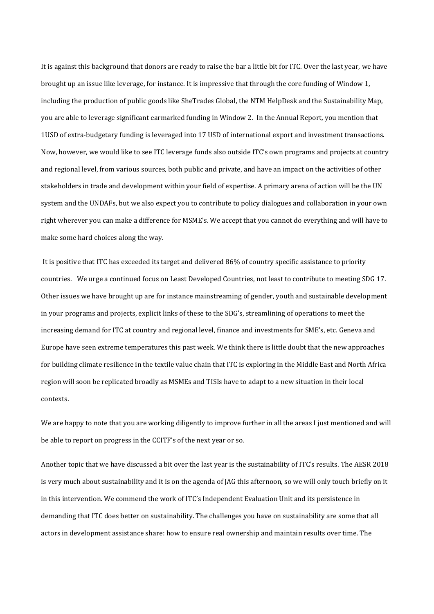It is against this background that donors are ready to raise the bar a little bit for ITC. Over the last year, we have brought up an issue like leverage, for instance. It is impressive that through the core funding of Window 1, including the production of public goods like SheTrades Global, the NTM HelpDesk and the Sustainability Map, you are able to leverage significant earmarked funding in Window 2. In the Annual Report, you mention that 1USD of extra-budgetary funding is leveraged into 17 USD of international export and investment transactions. Now, however, we would like to see ITC leverage funds also outside ITC's own programs and projects at country and regional level, from various sources, both public and private, and have an impact on the activities of other stakeholders in trade and development within your field of expertise. A primary arena of action will be the UN system and the UNDAFs, but we also expect you to contribute to policy dialogues and collaboration in your own right wherever you can make a difference for MSME's. We accept that you cannot do everything and will have to make some hard choices along the way.

It is positive that ITC has exceeded its target and delivered 86% of country specific assistance to priority countries. We urge a continued focus on Least Developed Countries, not least to contribute to meeting SDG 17. Other issues we have brought up are for instance mainstreaming of gender, youth and sustainable development in your programs and projects, explicit links of these to the SDG's, streamlining of operations to meet the increasing demand for ITC at country and regional level, finance and investments for SME's, etc. Geneva and Europe have seen extreme temperatures this past week. We think there is little doubt that the new approaches for building climate resilience in the textile value chain that ITC is exploring in the Middle East and North Africa region will soon be replicated broadly as MSMEs and TISIs have to adapt to a new situation in their local contexts.

We are happy to note that you are working diligently to improve further in all the areas I just mentioned and will be able to report on progress in the CCITF's of the next year or so.

Another topic that we have discussed a bit over the last year is the sustainability of ITC's results. The AESR 2018 is very much about sustainability and it is on the agenda of JAG this afternoon, so we will only touch briefly on it in this intervention. We commend the work of ITC's Independent Evaluation Unit and its persistence in demanding that ITC does better on sustainability. The challenges you have on sustainability are some that all actors in development assistance share: how to ensure real ownership and maintain results over time. The